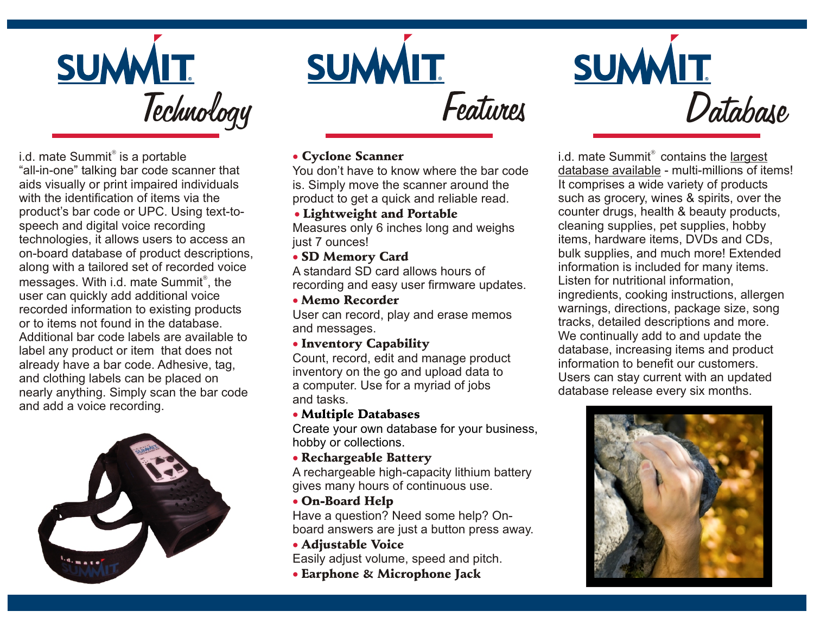

i.d. mate Summit is a portable "all-in-one" talking bar code scanner that aids visually or print impaired individuals with the identification of items via the product's bar code or UPC. Using text-tospeech and digital voice recording technologies, it allows users to access an on-board database of product descriptions, along with a tailored set of recorded voice messages. With i.d. mate Summit , the user can quickly add additional voice recorded information to existing products or to items not found in the database. Additional bar code labels are available to label any product or item that does not already have a bar code. Adhesive, tag, and clothing labels can be placed on nearly anything. Simply scan the bar code and add a voice recording.





# *Database*

#### Cyclone Scanner

You don't have to know where the bar code is. Simply move the scanner around the product to get a quick and reliable read.

#### • Lightweight and Portable

Measures only 6 inches long and weighs just 7 ounces!

# • SD Memory Card

A standard SD card allows hours of recording and easy user firmware updates.

#### • Memo Recorder

User can record, play and erase memos and messages.

# • Inventory Capability

Count, record, edit and manage product inventory on the go and upload data to a computer. Use for a myriad of jobs and tasks.

# • Multiple Databases

Create your own database for your business, hobby or collections.

# • Rechargeable Battery

A rechargeable high-capacity lithium battery gives many hours of continuous use.

# • On-Board Help

Have a question? Need some help? Onboard answers are just a button press away.

#### • Adjustable Voice

• Earphone & Microphone Jack Easily adjust volume, speed and pitch.  i.d. mate Summit contains the largest database available - multi-millions of items! It comprises a wide variety of products such as grocery, wines & spirits, over the counter drugs, health & beauty products, cleaning supplies, pet supplies, hobby items, hardware items, DVDs and CDs, bulk supplies, and much more! Extended information is included for many items. Listen for nutritional information, ingredients, cooking instructions, allergen warnings, directions, package size, song tracks, detailed descriptions and more. We continually add to and update the database, increasing items and product information to benefit our customers. Users can stay current with an updated database release every six months.